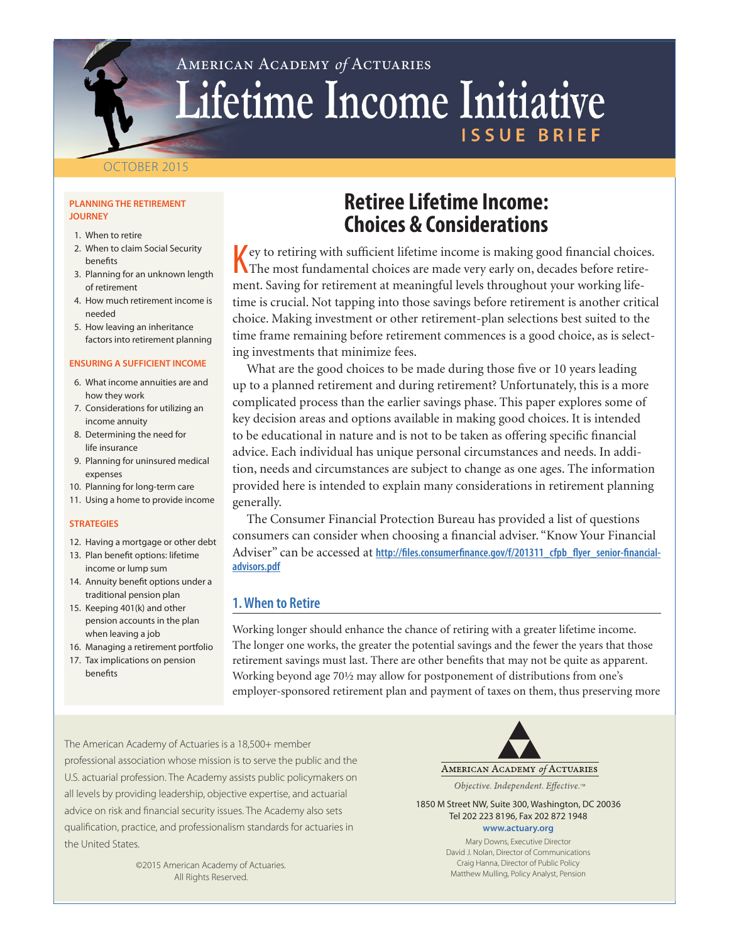# American Academy *of* Actuaries Lifetime Income Initiative ISSUE BRI

### OCTOBER 2015

#### **PLANNING THE RETIREMENT JOURNEY**

- 1. When to retire
- 2. When to claim Social Security benefits
- 3. Planning for an unknown length of retirement
- 4. How much retirement income is needed
- 5. How leaving an inheritance factors into retirement planning

#### **ENSURING A SUFFICIENT INCOME**

- 6. What income annuities are and how they work
- 7. Considerations for utilizing an income annuity
- 8. Determining the need for life insurance
- 9. Planning for uninsured medical expenses
- 10. Planning for long-term care
- 11. Using a home to provide income

#### **STRATEGIES**

- 12. Having a mortgage or other debt
- 13. Plan benefit options: lifetime income or lump sum
- 14. Annuity benefit options under a traditional pension plan
- 15. Keeping 401(k) and other pension accounts in the plan when leaving a job
- 16. Managing a retirement portfolio
- 17. Tax implications on pension benefits

## **Retiree Lifetime Income: Choices & Considerations**

 $\sqrt{\ }$  ey to retiring with sufficient lifetime income is making good financial choices. The most fundamental choices are made very early on, decades before retirement. Saving for retirement at meaningful levels throughout your working lifetime is crucial. Not tapping into those savings before retirement is another critical choice. Making investment or other retirement-plan selections best suited to the time frame remaining before retirement commences is a good choice, as is selecting investments that minimize fees.

What are the good choices to be made during those five or 10 years leading up to a planned retirement and during retirement? Unfortunately, this is a more complicated process than the earlier savings phase. This paper explores some of key decision areas and options available in making good choices. It is intended to be educational in nature and is not to be taken as offering specific financial advice. Each individual has unique personal circumstances and needs. In addition, needs and circumstances are subject to change as one ages. The information provided here is intended to explain many considerations in retirement planning generally.

The Consumer Financial Protection Bureau has provided a list of questions consumers can consider when choosing a financial adviser. "Know Your Financial Adviser" can be accessed at http://files.consumerfinance.gov/f/201311 cfpb flyer senior-financial**[advisors.pdf](http://files.consumerfinance.gov/f/201311_cfpb_flyer_senior-financial-advisors.pdf)**

## **1. When to Retire**

Working longer should enhance the chance of retiring with a greater lifetime income. The longer one works, the greater the potential savings and the fewer the years that those retirement savings must last. There are other benefits that may not be quite as apparent. Working beyond age 70½ may allow for postponement of distributions from one's employer-sponsored retirement plan and payment of taxes on them, thus preserving more

The American Academy of Actuaries is a 18,500+ member professional association whose mission is to serve the public and the U.S. actuarial profession. The Academy assists public policymakers on all levels by providing leadership, objective expertise, and actuarial advice on risk and financial security issues. The Academy also sets qualification, practice, and professionalism standards for actuaries in the United States.

> ©2015 American Academy of Actuaries. All Rights Reserved.

AMERICAN ACADEMY of ACTUARIES

Objective. Independent. Effective.™

1850 M Street NW, Suite 300, Washington, DC 20036 Tel 202 223 8196, Fax 202 872 1948 **<www.actuary.org>**

> Mary Downs, Executive Director David J. Nolan, Director of Communications Craig Hanna, Director of Public Policy Matthew Mulling, Policy Analyst, Pension

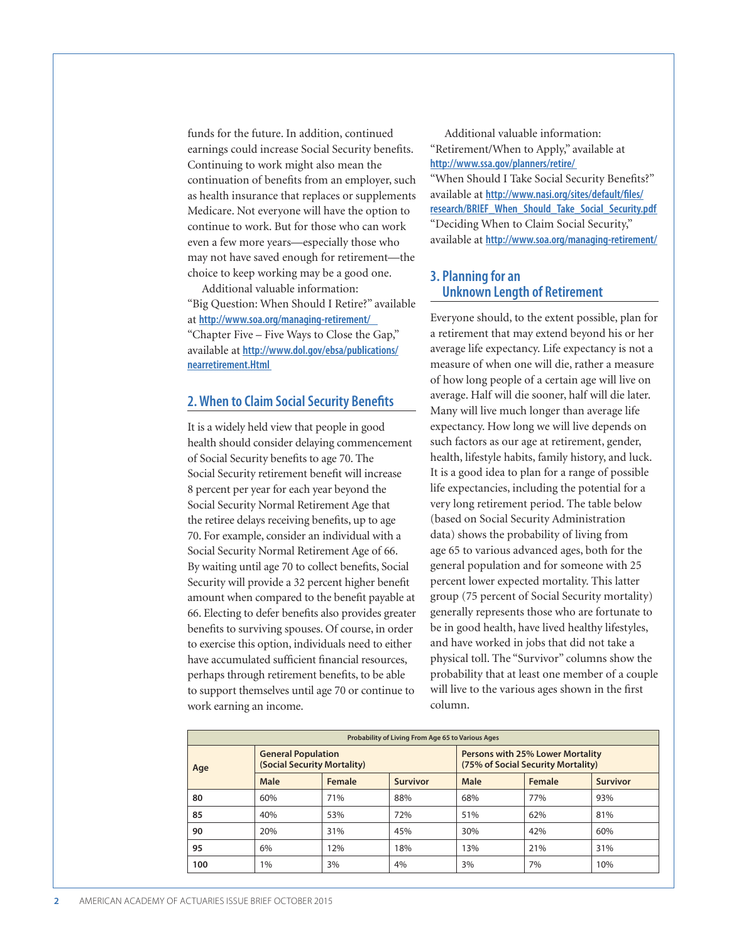funds for the future. In addition, continued earnings could increase Social Security benefits. Continuing to work might also mean the continuation of benefits from an employer, such as health insurance that replaces or supplements Medicare. Not everyone will have the option to continue to work. But for those who can work even a few more years—especially those who may not have saved enough for retirement—the choice to keep working may be a good one.

Additional valuable information: "Big Question: When Should I Retire?" available at **http://www.soa.org/managing-retirement/**  "Chapter Five – Five Ways to Close the Gap," available at **[http://www.dol.gov/ebsa/publications/](http://www.dol.gov/ebsa/publications/nearretirement.Html) [nearretirement.Html](http://www.dol.gov/ebsa/publications/nearretirement.Html)** 

#### **2. When to Claim Social Security Benefits**

It is a widely held view that people in good health should consider delaying commencement of Social Security benefits to age 70. The Social Security retirement benefit will increase 8 percent per year for each year beyond the Social Security Normal Retirement Age that the retiree delays receiving benefits, up to age 70. For example, consider an individual with a Social Security Normal Retirement Age of 66. By waiting until age 70 to collect benefits, Social Security will provide a 32 percent higher benefit amount when compared to the benefit payable at 66. Electing to defer benefits also provides greater benefits to surviving spouses. Of course, in order to exercise this option, individuals need to either have accumulated sufficient financial resources, perhaps through retirement benefits, to be able to support themselves until age 70 or continue to work earning an income.

Additional valuable information: "Retirement/When to Apply," available at **http://www.ssa.gov/planners/retire/** 

"When Should I Take Social Security Benefits?" available at **[http://www.nasi.org/sites/default/files/](https://www.nasi.org/sites/default/files/research/BRIEF_When_Should_Take_Social_Security.pdf) [research/BRIEF\\_When\\_Should\\_Take\\_Social\\_Security.pdf](https://www.nasi.org/sites/default/files/research/BRIEF_When_Should_Take_Social_Security.pdf)**  "Deciding When to Claim Social Security," available at **http://www.soa.org/managing-retirement/**

#### **3. Planning for an Unknown Length of Retirement**

Everyone should, to the extent possible, plan for a retirement that may extend beyond his or her average life expectancy. Life expectancy is not a measure of when one will die, rather a measure of how long people of a certain age will live on average. Half will die sooner, half will die later. Many will live much longer than average life expectancy. How long we will live depends on such factors as our age at retirement, gender, health, lifestyle habits, family history, and luck. It is a good idea to plan for a range of possible life expectancies, including the potential for a very long retirement period. The table below (based on Social Security Administration data) shows the probability of living from age 65 to various advanced ages, both for the general population and for someone with 25 percent lower expected mortality. This latter group (75 percent of Social Security mortality) generally represents those who are fortunate to be in good health, have lived healthy lifestyles, and have worked in jobs that did not take a physical toll. The "Survivor" columns show the probability that at least one member of a couple will live to the various ages shown in the first column.

| Probability of Living From Age 65 to Various Ages |                                                          |        |                 |                                                                        |        |          |
|---------------------------------------------------|----------------------------------------------------------|--------|-----------------|------------------------------------------------------------------------|--------|----------|
| Age                                               | <b>General Population</b><br>(Social Security Mortality) |        |                 | Persons with 25% Lower Mortality<br>(75% of Social Security Mortality) |        |          |
|                                                   | Male                                                     | Female | <b>Survivor</b> | Male                                                                   | Female | Survivor |
| 80                                                | 60%                                                      | 71%    | 88%             | 68%                                                                    | 77%    | 93%      |
| 85                                                | 40%                                                      | 53%    | 72%             | 51%                                                                    | 62%    | 81%      |
| 90                                                | 20%                                                      | 31%    | 45%             | 30%                                                                    | 42%    | 60%      |
| 95                                                | 6%                                                       | 12%    | 18%             | 13%                                                                    | 21%    | 31%      |
| 100                                               | 1%                                                       | 3%     | 4%              | 3%                                                                     | 7%     | 10%      |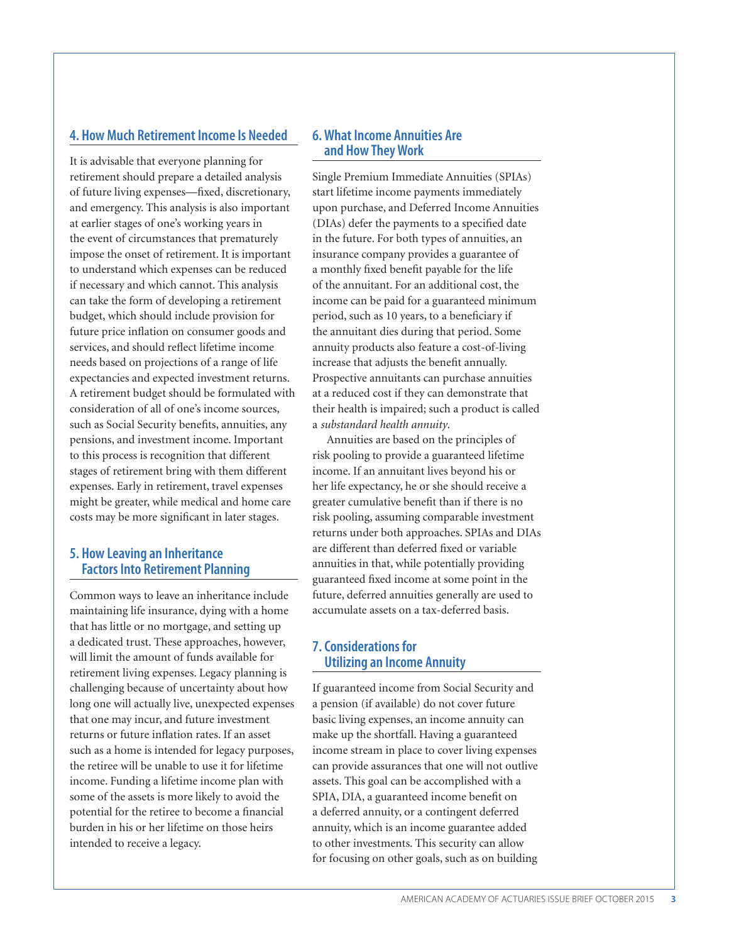#### **4. How Much Retirement Income Is Needed**

It is advisable that everyone planning for retirement should prepare a detailed analysis of future living expenses—fixed, discretionary, and emergency. This analysis is also important at earlier stages of one's working years in the event of circumstances that prematurely impose the onset of retirement. It is important to understand which expenses can be reduced if necessary and which cannot. This analysis can take the form of developing a retirement budget, which should include provision for future price inflation on consumer goods and services, and should reflect lifetime income needs based on projections of a range of life expectancies and expected investment returns. A retirement budget should be formulated with consideration of all of one's income sources, such as Social Security benefits, annuities, any pensions, and investment income. Important to this process is recognition that different stages of retirement bring with them different expenses. Early in retirement, travel expenses might be greater, while medical and home care costs may be more significant in later stages.

#### **5. How Leaving an Inheritance Factors Into Retirement Planning**

Common ways to leave an inheritance include maintaining life insurance, dying with a home that has little or no mortgage, and setting up a dedicated trust. These approaches, however, will limit the amount of funds available for retirement living expenses. Legacy planning is challenging because of uncertainty about how long one will actually live, unexpected expenses that one may incur, and future investment returns or future inflation rates. If an asset such as a home is intended for legacy purposes, the retiree will be unable to use it for lifetime income. Funding a lifetime income plan with some of the assets is more likely to avoid the potential for the retiree to become a financial burden in his or her lifetime on those heirs intended to receive a legacy.

#### **6. What Income Annuities Are and How They Work**

Single Premium Immediate Annuities (SPIAs) start lifetime income payments immediately upon purchase, and Deferred Income Annuities (DIAs) defer the payments to a specified date in the future. For both types of annuities, an insurance company provides a guarantee of a monthly fixed benefit payable for the life of the annuitant. For an additional cost, the income can be paid for a guaranteed minimum period, such as 10 years, to a beneficiary if the annuitant dies during that period. Some annuity products also feature a cost-of-living increase that adjusts the benefit annually. Prospective annuitants can purchase annuities at a reduced cost if they can demonstrate that their health is impaired; such a product is called a *substandard health annuity*.

Annuities are based on the principles of risk pooling to provide a guaranteed lifetime income. If an annuitant lives beyond his or her life expectancy, he or she should receive a greater cumulative benefit than if there is no risk pooling, assuming comparable investment returns under both approaches. SPIAs and DIAs are different than deferred fixed or variable annuities in that, while potentially providing guaranteed fixed income at some point in the future, deferred annuities generally are used to accumulate assets on a tax-deferred basis.

### **7. Considerations for Utilizing an Income Annuity**

If guaranteed income from Social Security and a pension (if available) do not cover future basic living expenses, an income annuity can make up the shortfall. Having a guaranteed income stream in place to cover living expenses can provide assurances that one will not outlive assets. This goal can be accomplished with a SPIA, DIA, a guaranteed income benefit on a deferred annuity, or a contingent deferred annuity, which is an income guarantee added to other investments. This security can allow for focusing on other goals, such as on building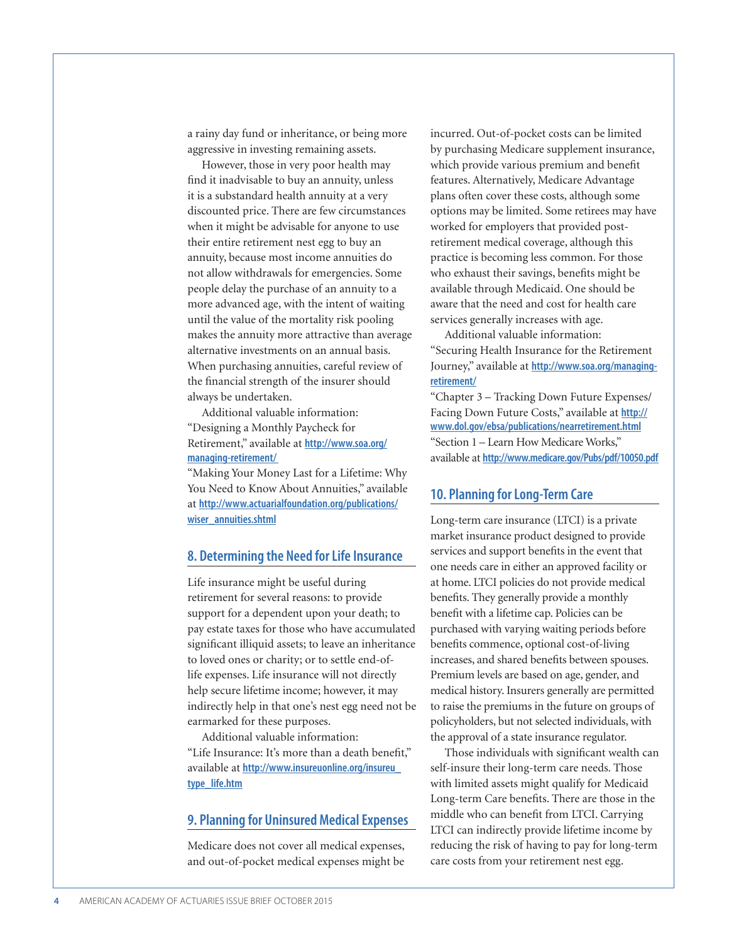a rainy day fund or inheritance, or being more aggressive in investing remaining assets.

However, those in very poor health may find it inadvisable to buy an annuity, unless it is a substandard health annuity at a very discounted price. There are few circumstances when it might be advisable for anyone to use their entire retirement nest egg to buy an annuity, because most income annuities do not allow withdrawals for emergencies. Some people delay the purchase of an annuity to a more advanced age, with the intent of waiting until the value of the mortality risk pooling makes the annuity more attractive than average alternative investments on an annual basis. When purchasing annuities, careful review of the financial strength of the insurer should always be undertaken.

Additional valuable information: "Designing a Monthly Paycheck for Retirement," available at **[http://www.soa.org/](https://www.soa.org/managing-retirement/) [managing-retirement/](https://www.soa.org/managing-retirement/)** 

"Making Your Money Last for a Lifetime: Why You Need to Know About Annuities," available at **[http://www.actuarialfoundation.org/publications/](http://www.actuarialfoundation.org/publications/wiser_annuities.shtml) [wiser\\_annuities.shtml](http://www.actuarialfoundation.org/publications/wiser_annuities.shtml)**

#### **8. Determining the Need for Life Insurance**

Life insurance might be useful during retirement for several reasons: to provide support for a dependent upon your death; to pay estate taxes for those who have accumulated significant illiquid assets; to leave an inheritance to loved ones or charity; or to settle end-oflife expenses. Life insurance will not directly help secure lifetime income; however, it may indirectly help in that one's nest egg need not be earmarked for these purposes.

Additional valuable information: "Life Insurance: It's more than a death benefit," available at **[http://www.insureuonline.org/insureu\\_](http://www.insureuonline.org/insureu_type_life.htm) [type\\_life.htm](http://www.insureuonline.org/insureu_type_life.htm)**

#### **9. Planning for Uninsured Medical Expenses**

Medicare does not cover all medical expenses, and out-of-pocket medical expenses might be

incurred. Out-of-pocket costs can be limited by purchasing Medicare supplement insurance, which provide various premium and benefit features. Alternatively, Medicare Advantage plans often cover these costs, although some options may be limited. Some retirees may have worked for employers that provided postretirement medical coverage, although this practice is becoming less common. For those who exhaust their savings, benefits might be available through Medicaid. One should be aware that the need and cost for health care services generally increases with age.

Additional valuable information: "Securing Health Insurance for the Retirement Journey," available at **[http://www.soa.org/managing](https://www.soa.org/managing-retirement/)[retirement/](https://www.soa.org/managing-retirement/)**

"Chapter 3 – Tracking Down Future Expenses/ Facing Down Future Costs," available at **http:// www.dol.gov/ebsa/publications/nearretirement.html** "Section 1 – Learn How Medicare Works," available at **http://www.medicare.gov/Pubs/pdf/10050.pdf**

#### **10. Planning for Long-Term Care**

Long-term care insurance (LTCI) is a private market insurance product designed to provide services and support benefits in the event that one needs care in either an approved facility or at home. LTCI policies do not provide medical benefits. They generally provide a monthly benefit with a lifetime cap. Policies can be purchased with varying waiting periods before benefits commence, optional cost-of-living increases, and shared benefits between spouses. Premium levels are based on age, gender, and medical history. Insurers generally are permitted to raise the premiums in the future on groups of policyholders, but not selected individuals, with the approval of a state insurance regulator.

Those individuals with significant wealth can self-insure their long-term care needs. Those with limited assets might qualify for Medicaid Long-term Care benefits. There are those in the middle who can benefit from LTCI. Carrying LTCI can indirectly provide lifetime income by reducing the risk of having to pay for long-term care costs from your retirement nest egg.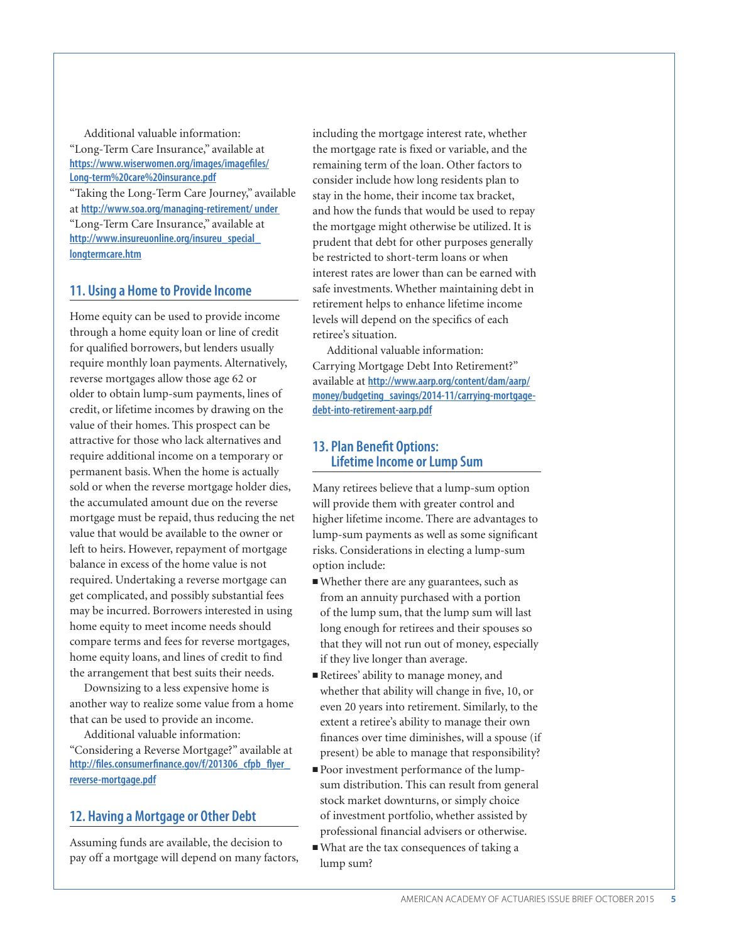Additional valuable information: "Long-Term Care Insurance," available at **[https://www.wiserwomen.org/images/imagefiles/](https://www.wiserwomen.org/images/imagefiles/Long-term%20care%20insurance.pdf) [Long-term%20care%20insurance.pdf](https://www.wiserwomen.org/images/imagefiles/Long-term%20care%20insurance.pdf)** "Taking the Long-Term Care Journey," available at **[http://www.soa.org/managing-retirement/ u](https://www.soa.org/managing-retirement/)nder**  "Long-Term Care Insurance," available at **[http://www.insureuonline.org/insureu\\_special\\_](http://www.insureuonline.org/insureu_special_longtermcare.htm) [longtermcare.htm](http://www.insureuonline.org/insureu_special_longtermcare.htm)**

#### **11. Using a Home to Provide Income**

Home equity can be used to provide income through a home equity loan or line of credit for qualified borrowers, but lenders usually require monthly loan payments. Alternatively, reverse mortgages allow those age 62 or older to obtain lump-sum payments, lines of credit, or lifetime incomes by drawing on the value of their homes. This prospect can be attractive for those who lack alternatives and require additional income on a temporary or permanent basis. When the home is actually sold or when the reverse mortgage holder dies, the accumulated amount due on the reverse mortgage must be repaid, thus reducing the net value that would be available to the owner or left to heirs. However, repayment of mortgage balance in excess of the home value is not required. Undertaking a reverse mortgage can get complicated, and possibly substantial fees may be incurred. Borrowers interested in using home equity to meet income needs should compare terms and fees for reverse mortgages, home equity loans, and lines of credit to find the arrangement that best suits their needs.

Downsizing to a less expensive home is another way to realize some value from a home that can be used to provide an income.

Additional valuable information: "Considering a Reverse Mortgage?" available at **[http://files.consumerfinance.gov/f/201306\\_cfpb\\_flyer\\_](http://files.consumerfinance.gov/f/201306_cfpb_flyer_reverse-mortgage.pdf) [reverse-mortgage.pdf](http://files.consumerfinance.gov/f/201306_cfpb_flyer_reverse-mortgage.pdf)**

#### **12. Having a Mortgage or Other Debt**

Assuming funds are available, the decision to pay off a mortgage will depend on many factors,

including the mortgage interest rate, whether the mortgage rate is fixed or variable, and the remaining term of the loan. Other factors to consider include how long residents plan to stay in the home, their income tax bracket, and how the funds that would be used to repay the mortgage might otherwise be utilized. It is prudent that debt for other purposes generally be restricted to short-term loans or when interest rates are lower than can be earned with safe investments. Whether maintaining debt in retirement helps to enhance lifetime income levels will depend on the specifics of each retiree's situation.

Additional valuable information: Carrying Mortgage Debt Into Retirement?" available at **[http://www.aarp.org/content/dam/aarp/](http://www.aarp.org/content/dam/aarp/money/budgeting_savings/2014-11/carrying-mortgage-debt-into-retirement-aarp.pdf) [money/budgeting\\_savings/2014-11/carrying-mortgage](http://www.aarp.org/content/dam/aarp/money/budgeting_savings/2014-11/carrying-mortgage-debt-into-retirement-aarp.pdf)[debt-into-retirement-aarp.pdf](http://www.aarp.org/content/dam/aarp/money/budgeting_savings/2014-11/carrying-mortgage-debt-into-retirement-aarp.pdf)**

#### **13. Plan Benefit Options: Lifetime Income or Lump Sum**

Many retirees believe that a lump-sum option will provide them with greater control and higher lifetime income. There are advantages to lump-sum payments as well as some significant risks. Considerations in electing a lump-sum option include:

- <sup>n</sup>Whether there are any guarantees, such as from an annuity purchased with a portion of the lump sum, that the lump sum will last long enough for retirees and their spouses so that they will not run out of money, especially if they live longer than average.
- Retirees' ability to manage money, and whether that ability will change in five, 10, or even 20 years into retirement. Similarly, to the extent a retiree's ability to manage their own finances over time diminishes, will a spouse (if present) be able to manage that responsibility?
- Poor investment performance of the lumpsum distribution. This can result from general stock market downturns, or simply choice of investment portfolio, whether assisted by professional financial advisers or otherwise.
- <sup>n</sup>What are the tax consequences of taking a lump sum?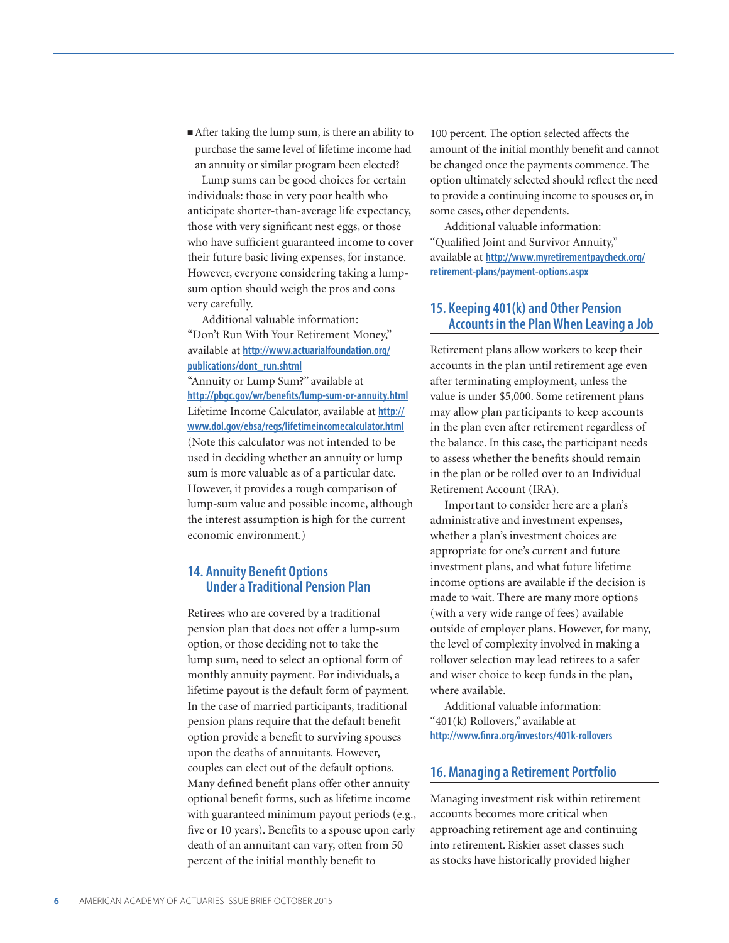<sup>n</sup>After taking the lump sum, is there an ability to purchase the same level of lifetime income had an annuity or similar program been elected?

Lump sums can be good choices for certain individuals: those in very poor health who anticipate shorter-than-average life expectancy, those with very significant nest eggs, or those who have sufficient guaranteed income to cover their future basic living expenses, for instance. However, everyone considering taking a lumpsum option should weigh the pros and cons very carefully.

Additional valuable information: "Don't Run With Your Retirement Money," available at **[http://www.actuarialfoundation.org/](http://www.actuarialfoundation.org/publications/dont_run.shtml) [publications/dont\\_run.shtml](http://www.actuarialfoundation.org/publications/dont_run.shtml)**

"Annuity or Lump Sum?" available at **http://pbgc.gov/wr/benefits/lump-sum-or-annuity.html** Lifetime Income Calculator, available at **http:// www.dol.gov/ebsa/regs/lifetimeincomecalculator.html** (Note this calculator was not intended to be used in deciding whether an annuity or lump sum is more valuable as of a particular date. However, it provides a rough comparison of lump-sum value and possible income, although the interest assumption is high for the current economic environment.)

## **14. Annuity Benefit Options Under a Traditional Pension Plan**

Retirees who are covered by a traditional pension plan that does not offer a lump-sum option, or those deciding not to take the lump sum, need to select an optional form of monthly annuity payment. For individuals, a lifetime payout is the default form of payment. In the case of married participants, traditional pension plans require that the default benefit option provide a benefit to surviving spouses upon the deaths of annuitants. However, couples can elect out of the default options. Many defined benefit plans offer other annuity optional benefit forms, such as lifetime income with guaranteed minimum payout periods (e.g., five or 10 years). Benefits to a spouse upon early death of an annuitant can vary, often from 50 percent of the initial monthly benefit to

100 percent. The option selected affects the amount of the initial monthly benefit and cannot be changed once the payments commence. The option ultimately selected should reflect the need to provide a continuing income to spouses or, in some cases, other dependents.

Additional valuable information: "Qualified Joint and Survivor Annuity," available at **[http://www.myretirementpaycheck.org/](http://www.myretirementpaycheck.org/retirement-plans/payment-options.aspx) [retirement-plans/payment-options.aspx](http://www.myretirementpaycheck.org/retirement-plans/payment-options.aspx)**

### **15. Keeping 401(k) and Other Pension Accounts in the Plan When Leaving a Job**

Retirement plans allow workers to keep their accounts in the plan until retirement age even after terminating employment, unless the value is under \$5,000. Some retirement plans may allow plan participants to keep accounts in the plan even after retirement regardless of the balance. In this case, the participant needs to assess whether the benefits should remain in the plan or be rolled over to an Individual Retirement Account (IRA).

Important to consider here are a plan's administrative and investment expenses, whether a plan's investment choices are appropriate for one's current and future investment plans, and what future lifetime income options are available if the decision is made to wait. There are many more options (with a very wide range of fees) available outside of employer plans. However, for many, the level of complexity involved in making a rollover selection may lead retirees to a safer and wiser choice to keep funds in the plan, where available.

Additional valuable information: "401(k) Rollovers," available at **http://www.finra.org/investors/401k-rollovers**

#### **16. Managing a Retirement Portfolio**

Managing investment risk within retirement accounts becomes more critical when approaching retirement age and continuing into retirement. Riskier asset classes such as stocks have historically provided higher